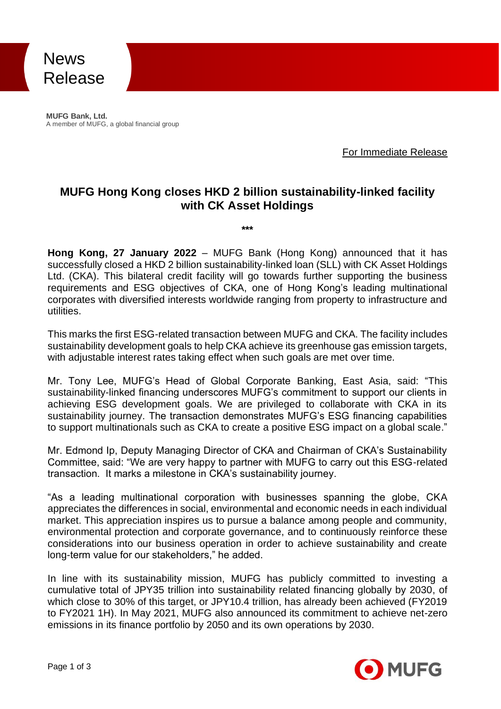News Release

**MUFG Bank, Ltd.** A member of MUFG, a global financial group

For Immediate Release

### **MUFG Hong Kong closes HKD 2 billion sustainability-linked facility with CK Asset Holdings**

**\*\*\***

**Hong Kong, 27 January 2022** – MUFG Bank (Hong Kong) announced that it has successfully closed a HKD 2 billion sustainability-linked loan (SLL) with CK Asset Holdings Ltd. (CKA). This bilateral credit facility will go towards further supporting the business requirements and ESG objectives of CKA, one of Hong Kong's leading multinational corporates with diversified interests worldwide ranging from property to infrastructure and utilities.

This marks the first ESG-related transaction between MUFG and CKA. The facility includes sustainability development goals to help CKA achieve its greenhouse gas emission targets, with adjustable interest rates taking effect when such goals are met over time.

Mr. Tony Lee, MUFG's Head of Global Corporate Banking, East Asia, said: "This sustainability-linked financing underscores MUFG's commitment to support our clients in achieving ESG development goals. We are privileged to collaborate with CKA in its sustainability journey. The transaction demonstrates MUFG's ESG financing capabilities to support multinationals such as CKA to create a positive ESG impact on a global scale."

Mr. Edmond Ip, Deputy Managing Director of CKA and Chairman of CKA's Sustainability Committee, said: "We are very happy to partner with MUFG to carry out this ESG-related transaction. It marks a milestone in CKA's sustainability journey.

"As a leading multinational corporation with businesses spanning the globe, CKA appreciates the differences in social, environmental and economic needs in each individual market. This appreciation inspires us to pursue a balance among people and community, environmental protection and corporate governance, and to continuously reinforce these considerations into our business operation in order to achieve sustainability and create long-term value for our stakeholders," he added.

In line with its sustainability mission, MUFG has publicly committed to investing a cumulative total of JPY35 trillion into sustainability related financing globally by 2030, of which close to 30% of this target, or JPY10.4 trillion, has already been achieved (FY2019 to FY2021 1H). In May 2021, MUFG also announced its commitment to achieve net-zero emissions in its finance portfolio by 2050 and its own operations by 2030.

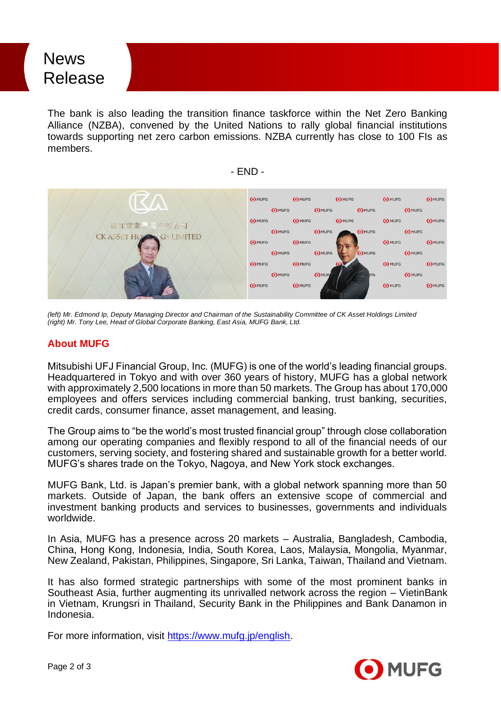## News Release

The bank is also leading the transition finance taskforce within the Net Zero Banking Alliance (NZBA), convened by the United Nations to rally global financial institutions towards supporting net zero carbon emissions. NZBA currently has close to 100 FIs as members.

- END -



*(left) Mr. Edmond Ip, Deputy Managing Director and Chairman of the Sustainability Committee of CK Asset Holdings Limited (right) Mr. Tony Lee, Head of Global Corporate Banking, East Asia, MUFG Bank, Ltd.*

#### **About MUFG**

Mitsubishi UFJ Financial Group, Inc. (MUFG) is one of the world's leading financial groups. Headquartered in Tokyo and with over 360 years of history, MUFG has a global network with approximately 2,500 locations in more than 50 markets. The Group has about 170,000 employees and offers services including commercial banking, trust banking, securities, credit cards, consumer finance, asset management, and leasing.

The Group aims to "be the world's most trusted financial group" through close collaboration among our operating companies and flexibly respond to all of the financial needs of our customers, serving society, and fostering shared and sustainable growth for a better world. MUFG's shares trade on the Tokyo, Nagoya, and New York stock exchanges.

MUFG Bank, Ltd. is Japan's premier bank, with a global network spanning more than 50 markets. Outside of Japan, the bank offers an extensive scope of commercial and investment banking products and services to businesses, governments and individuals worldwide.

In Asia, MUFG has a presence across 20 markets – Australia, Bangladesh, Cambodia, China, Hong Kong, Indonesia, India, South Korea, Laos, Malaysia, Mongolia, Myanmar, New Zealand, Pakistan, Philippines, Singapore, Sri Lanka, Taiwan, Thailand and Vietnam.

It has also formed strategic partnerships with some of the most prominent banks in Southeast Asia, further augmenting its unrivalled network across the region – VietinBank in Vietnam, Krungsri in Thailand, Security Bank in the Philippines and Bank Danamon in Indonesia.

For more information, visit [https://www.mufg.jp/english.](https://www.mufg.jp/english)